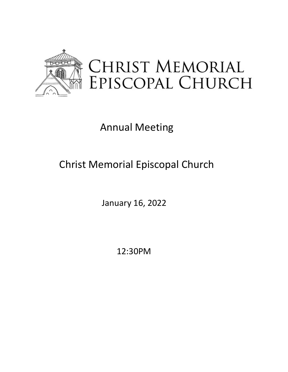

# Annual Meeting

# Christ Memorial Episcopal Church

January 16, 2022

12:30PM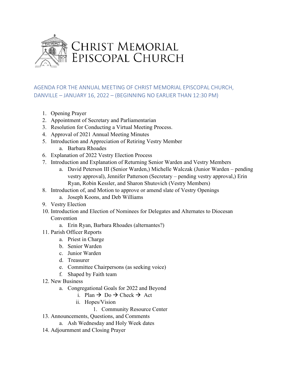

#### AGENDA FOR THE ANNUAL MEETING OF CHRIST MEMORIAL EPISCOPAL CHURCH, DANVILLE – JANUARY 16, 2022 – (BEGINNING NO EARLIER THAN 12:30 PM)

- 1. Opening Prayer
- 2. Appointment of Secretary and Parliamentarian
- 3. Resolution for Conducting a Virtual Meeting Process.
- 4. Approval of 2021 Annual Meeting Minutes
- 5. Introduction and Appreciation of Retiring Vestry Member
	- a. Barbara Rhoades
- 6. Explanation of 2022 Vestry Election Process
- 7. Introduction and Explanation of Returning Senior Warden and Vestry Members
	- a. David Peterson III (Senior Warden,) Michelle Walczak (Junior Warden pending vestry approval), Jennifer Patterson (Secretary – pending vestry approval,) Erin Ryan, Robin Kessler, and Sharon Shutovich (Vestry Members)
- 8. Introduction of, and Motion to approve or amend slate of Vestry Openings
	- a. Joseph Koons, and Deb Williams
- 9. Vestry Election
- 10. Introduction and Election of Nominees for Delegates and Alternates to Diocesan Convention
	- a. Erin Ryan, Barbara Rhoades (alternantes?)
- 11. Parish Officer Reports
	- a. Priest in Charge
	- b. Senior Warden
	- c. Junior Warden
	- d. Treasurer
	- e. Committee Chairpersons (as seeking voice)
	- f. Shaped by Faith team
- 12. New Business
	- a. Congregational Goals for 2022 and Beyond
		- i. Plan  $\rightarrow$  Do  $\rightarrow$  Check  $\rightarrow$  Act
		- ii. Hopes/Vision
			- 1. Community Resource Center
- 13. Announcements, Questions, and Comments
	- a. Ash Wednesday and Holy Week dates
- 14. Adjournment and Closing Prayer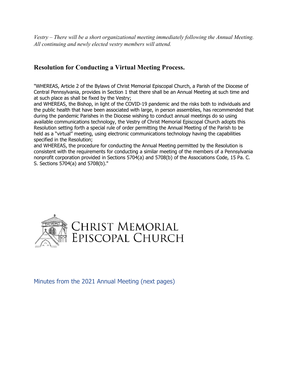*Vestry – There will be a short organizational meeting immediately following the Annual Meeting. All continuing and newly elected vestry members will attend.* 

#### **Resolution for Conducting a Virtual Meeting Process.**

"WHEREAS, Article 2 of the Bylaws of Christ Memorial Episcopal Church, a Parish of the Diocese of Central Pennsylvania, provides in Section 1 that there shall be an Annual Meeting at such time and at such place as shall be fixed by the Vestry;

and WHEREAS, the Bishop, in light of the COVID-19 pandemic and the risks both to individuals and the public health that have been associated with large, in person assemblies, has recommended that during the pandemic Parishes in the Diocese wishing to conduct annual meetings do so using available communications technology, the Vestry of Christ Memorial Episcopal Church adopts this Resolution setting forth a special rule of order permitting the Annual Meeting of the Parish to be held as a "virtual" meeting, using electronic communications technology having the capabilities specified in the Resolution;

and WHEREAS, the procedure for conducting the Annual Meeting permitted by the Resolution is consistent with the requirements for conducting a similar meeting of the members of a Pennsylvania nonprofit corporation provided in Sections 5704(a) and 5708(b) of the Associations Code, 15 Pa. C. S. Sections 5704(a) and 5708(b)."



#### Minutes from the 2021 Annual Meeting (next pages)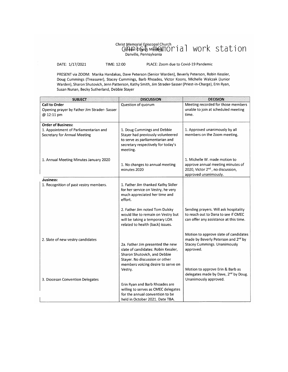# Christ Memorial Episcopal Church<br>
GAMA: Chordb MERCHIOM | a | WOME Station

DATE: 1/17/2021

TIME: 12:00

PLACE: Zoom due to Covid-19 Pandemic

PRESENT via ZOOM: Marika Handakas, Dave Peterson (Senior Warden), Beverly Peterson, Robin Kessler, Doug Cummings (Treasurer), Stacey Cummings, Barb Rhoades, Victor Koons, Michelle Walczak (Junior Warden), Sharon Shutovich, Jenn Patterson, Kathy Smith, Jim Strader-Sasser (Priest-in-Charge), Erin Ryan, Susan Nunan, Becky Sutherland, Debbie Stayer

| <b>DISCUSSION</b>                                                                                                                                     | <b>DECISION</b>                                                                                                                              |
|-------------------------------------------------------------------------------------------------------------------------------------------------------|----------------------------------------------------------------------------------------------------------------------------------------------|
| Question of quorum                                                                                                                                    | Meeting recorded for those members<br>unable to join at scheduled meeting<br>time.                                                           |
|                                                                                                                                                       |                                                                                                                                              |
| 1. Doug Cummings and Debbie<br>Stayer had previously volunteered<br>to serve as parliamentarian and<br>secretary respectively for today's<br>meeting. | 1. Approved unanimously by all<br>members on the Zoom meeting.                                                                               |
| 1. No changes to annual meeting<br>minutes 2020                                                                                                       | 1. Michelle W. made motion to<br>approve annual meeting minutes of<br>2020, Victor 2 <sup>nd</sup> , no discussion,<br>approved unanimously. |
| 1. Father Jim thanked Kathy Sidler<br>for her service on Vestry, he very<br>much appreciated her time and<br>effort.                                  |                                                                                                                                              |
| 2. Father Jim noted Tom Dulsky<br>would like to remain on Vestry but<br>will be taking a temporary LOA<br>related to health (back) issues.            | Sending prayers. Will ask hospitality<br>to reach out to Dana to see if CMEC<br>can offer any assistance at this time.                       |
| 2a. Father Jim presented the new<br>slate of candidates: Robin Kessler,<br>Sharon Shutovich, and Debbie<br>Stayer. No discussion or other             | Motion to approve slate of candidates<br>made by Beverly Peterson and 2nd by<br><b>Stacey Cummings. Unanimously</b><br>approved.             |
| Vestry.<br>Erin Ryan and Barb Rhoades are<br>willing to serves as CMEC delegates<br>for the annual convention to be                                   | Motion to approve Erin & Barb as<br>delegates made by Dave, 2nd by Doug.<br>Unanimously approved.                                            |
|                                                                                                                                                       | members voicing desire to serve on<br>held in October 2021. Date TBA.                                                                        |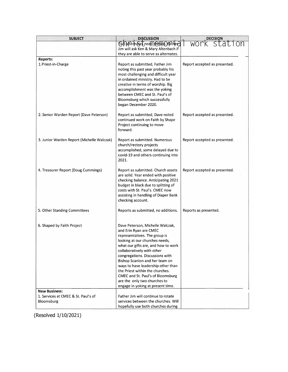| <b>SUBJECT</b>                                    | <b>DISCUSSION</b>                                                                                                                                                                                                                                                                                                                                                                                                                                          |                               |
|---------------------------------------------------|------------------------------------------------------------------------------------------------------------------------------------------------------------------------------------------------------------------------------------------------------------------------------------------------------------------------------------------------------------------------------------------------------------------------------------------------------------|-------------------------------|
|                                                   | Wo pitemates need hedder Orfather                                                                                                                                                                                                                                                                                                                                                                                                                          | <u>DECISION</u><br>WOMK Stat  |
|                                                   | Jim will ask Ken & Mary Altenbach if                                                                                                                                                                                                                                                                                                                                                                                                                       |                               |
|                                                   | they are able to serve as alternates.                                                                                                                                                                                                                                                                                                                                                                                                                      |                               |
| Reports:<br>1. Priest-in-Charge                   | Report as submitted, Father Jim<br>noting this past year probably his<br>most challenging and difficult year<br>in ordained ministry. Had to be<br>creative in terms of worship. Big<br>accomplishment was the yoking<br>between CMEC and St. Paul's of<br>Bloomsburg which successfully<br>began December 2020.                                                                                                                                           | Report accepted as presented. |
| 2. Senior Warden Report (Dave Peterson)           | Report as submitted, Dave noted<br>continued work on Faith by Shape<br>Project continuing to move<br>forward.                                                                                                                                                                                                                                                                                                                                              | Report accepted as presented. |
| 3. Junior Warden Report (Michelle Walczak)        | Report as submitted. Numerous<br>church/rectory projects<br>accomplished, some delayed due to<br>covid-19 and others continuing into<br>2021.                                                                                                                                                                                                                                                                                                              | Report accepted as presented. |
| 4. Treasurer Report (Doug Cummings)               | Report as submitted. Church assets<br>are solid. Year ended with positive<br>checking balance. Anticipating 2021<br>budget in black due to splitting of<br>costs with St. Paul's. CMEC now<br>assisting in handling of Diaper Bank<br>checking account.                                                                                                                                                                                                    | Report accepted as presented. |
| 5. Other Standing Committees                      | Reports as submitted, no additions.                                                                                                                                                                                                                                                                                                                                                                                                                        | Reports as presented.         |
| 6. Shaped by Faith Project                        | Dave Peterson, Michelle Walczak,<br>and Erin Ryan are CMEC<br>representatives. The group is<br>looking at our churches needs,<br>what our gifts are, and how to work<br>collaboratively with other<br>congregations. Discussions with<br>Bishop Scanlon and her team on<br>ways to have leadership other than<br>the Priest within the churches.<br>CMEC and St. Paul's of Bloomsburg<br>are the only two churches to<br>engage in yoking at present time. |                               |
| <b>New Business:</b>                              |                                                                                                                                                                                                                                                                                                                                                                                                                                                            |                               |
| 1. Services at CMEC & St. Paul's of<br>Bloomsburg | Father Jim will continue to rotate<br>services between the churches. Will                                                                                                                                                                                                                                                                                                                                                                                  |                               |
|                                                   | hopefully use both churches during                                                                                                                                                                                                                                                                                                                                                                                                                         |                               |

(Resolved 1/10/2021)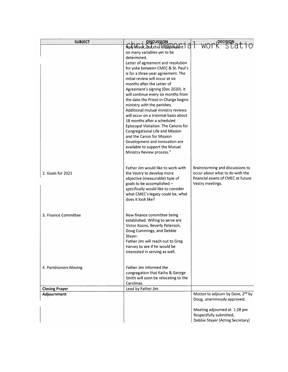| <b>SUBJECT</b>         | <b>DISCUSSION</b>                      |                                                             |
|------------------------|----------------------------------------|-------------------------------------------------------------|
|                        | Nolly Meek, Dulcthis Is Geldhaddnt   0 |                                                             |
|                        | on many variables yet to be            |                                                             |
|                        | determined.                            |                                                             |
|                        | Letter of agreement and resolution     |                                                             |
|                        | for yoke between CMEC & St. Paul's     |                                                             |
|                        | is for a three-year agreement. The     |                                                             |
|                        | initial review will occur at six       |                                                             |
|                        | months after the Letter of             |                                                             |
|                        | Agreement's signing (Dec 2020). It     |                                                             |
|                        | will continue every six months from    |                                                             |
|                        | the date the Priest-in-Charge begins   |                                                             |
|                        | ministry with the parishes.            |                                                             |
|                        | Additional mutual ministry reviews     |                                                             |
|                        | will occur on a triennial basis about  |                                                             |
|                        | 18 months after a scheduled            |                                                             |
|                        | Episcopal Visitation. The Canons for   |                                                             |
|                        | <b>Congregational Life and Mission</b> |                                                             |
|                        | and the Canon for Mission              |                                                             |
|                        | Development and Innovation are         |                                                             |
|                        | available to support the Mutual        |                                                             |
|                        | Ministry Review process."              |                                                             |
|                        |                                        |                                                             |
|                        |                                        |                                                             |
|                        | Father Jim would like to work with     | Brainstorming and discussions to                            |
| 2. Goals for 2021      | the Vestry to develop more             | occur about what to do with the                             |
|                        | objective (measurable) type of         | financial assets of CMEC at future                          |
|                        | goals to be accomplished -             | Vestry meetings.                                            |
|                        | specifically would like to consider    |                                                             |
|                        | what CMEC's legacy could be, what      |                                                             |
|                        | does it look like?                     |                                                             |
|                        |                                        |                                                             |
| 3. Finance Committee   | New finance committee being            |                                                             |
|                        | established. Willing to serve are      |                                                             |
|                        | Victor Koons, Beverly Peterson,        |                                                             |
|                        | Doug Cummings, and Debbie              |                                                             |
|                        | Stayer.                                |                                                             |
|                        | Father Jim will reach out to Greg      |                                                             |
|                        | Harvey to see if he would be           |                                                             |
|                        | interested in serving as well.         |                                                             |
|                        |                                        |                                                             |
|                        |                                        |                                                             |
| 4. Parishioners Moving | Father Jim informed the                |                                                             |
|                        | congregation that Kathy & George       |                                                             |
|                        | Smith will soon be relocating to the   |                                                             |
|                        | Carolinas.                             |                                                             |
| <b>Closing Prayer</b>  | Lead by Father Jim                     |                                                             |
| Adjournment            |                                        | Motion to adjourn by Dave, 2 <sup>nd</sup> by               |
|                        |                                        | Doug, unanimously approved.                                 |
|                        |                                        |                                                             |
|                        |                                        | Meeting adjourned at: 1:28 pm                               |
|                        |                                        | Respectfully submitted,<br>Debbie Stayer (Acting Secretary) |
|                        |                                        |                                                             |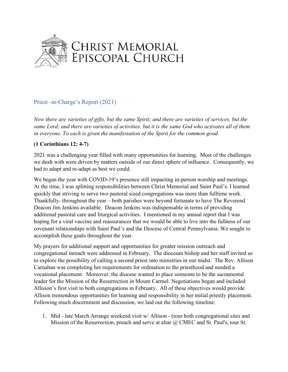

#### Priest -in-Charge's Report (2021)

*Now there are varieties of gifts, but the same Spirit; and there are varieties of services, but the same Lord; and there are varieties of activities, but it is the same God who activates all of them in everyone. To each is given the manifestation of the Spirit for the common good.* 

#### **(1 Corinthians 12: 4-7)**

2021 was a challenging year filled with many opportunities for learning. Most of the challenges we dealt with were driven by matters outside of our direct sphere of influence. Consequently, we had to adapt and re-adapt as best we could.

We began the year with COVID-19's presence still impacting in-person worship and meetings. At the time, I was splitting responsibilities between Christ Memorial and Saint Paul's. I learned quickly that striving to serve two pastoral sized congregations was more than fulltime work. Thankfully- throughout the year – both parishes were beyond fortunate to have The Reverend Deacon Jim Jenkins available. Deacon Jenkins was indispensable in terms of providing additional pastoral care and liturgical activities. I mentioned in my annual report that I was hoping for a viral vaccine and reassurances that we would be able to live into the fullness of our covenant relationships with Saint Paul's and the Diocese of Central Pennsylvania. We sought to accomplish these goals throughout the year.

My prayers for additional support and opportunities for greater mission outreach and congregational inreach were addressed in February. The diocesan bishop and her staff invited us to explore the possibility of calling a second priest into ministries in our midst. The Rev. Allison Carnahan was completing her requirements for ordination to the priesthood and needed a vocational placement. Moreover, the diocese wanted to place someone to be the sacramental leader for the Mission of the Resurrection in Mount Carmel. Negotiations began and included Allision's first visit to both congregations in February. All of these objectives would provide Allison tremendous opportunities for learning and responsibility in her initial priestly placement. Following much discernment and discussion, we laid out the following timeline:

1. Mid - late March Arrange weekend visit w/ Allison - (tour both congregational sites and Mission of the Resurrection, preach and serve at altar  $\omega$  CMEC and St. Paul's, tour St.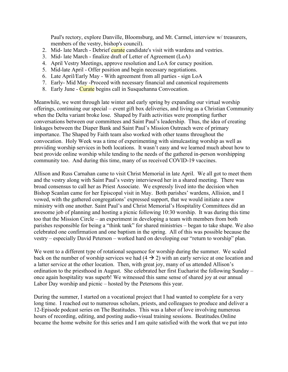Paul's rectory, explore Danville, Bloomsburg, and Mt. Carmel, interview w/ treasurers, members of the vestry, bishop's council).

- 2. Mid- late March Debrief curate candidate's visit with wardens and vestries.
- 3. Mid- late March finalize draft of Letter of Agreement (LoA)
- 4. April Vestry Meetings, approve resolution and LoA for curacy position.
- 5. Mid-late April Offer position and begin necessary negotiations.
- 6. Late April/Early May With agreement from all parties sign LoA
- 7. Early- Mid May -Proceed with necessary financial and canonical requirements
- 8. Early June Curate begins call in Susquehanna Convocation.

Meanwhile, we went through late winter and early spring by expanding our virtual worship offerings, continuing our special – event gift box deliveries, and living as a Christian Community when the Delta variant broke lose. Shaped by Faith activities were prompting further conversations between our committees and Saint Paul's leadership. Thus, the idea of creating linkages between the Diaper Bank and Saint Paul's Mission Outreach were of primary importance. The Shaped by Faith team also worked with other teams throughout the convocation. Holy Week was a time of experimenting with simulcasting worship as well as providing worship services in both locations. It wasn't easy and we learned much about how to best provide online worship while tending to the needs of the gathered in-person worshipping community too. And during this time, many of us received COVID-19 vaccines.

Allison and Russ Carnahan came to visit Christ Memorial in late April. We all got to meet them and the vestry along with Saint Paul's vestry interviewed her in a shared meeting. There was broad consensus to call her as Priest Associate. We expressly lived into the decision when Bishop Scanlan came for her Episcopal visit in May. Both parishes' wardens, Allision, and I vowed, with the gathered congregations' expressed support, that we would initiate a new ministry with one another. Saint Paul's and Christ Memorial's Hospitality Committees did an awesome job of planning and hosting a picnic following 10:30 worship. It was during this time too that the Mission Circle – an experiment in developing a team with members from both parishes responsible for being a "think tank" for shared ministries – began to take shape. We also celebrated one confirmation and one baptism in the spring. All of this was possible because the vestry – especially David Peterson – worked hard on developing our "return to worship" plan.

We went to a different type of rotational sequence for worship during the summer. We scaled back on the number of worship services we had  $(4 \rightarrow 2)$  with an early service at one location and a latter service at the other location. Then, with great joy, many of us attended Allison's ordination to the priesthood in August. She celebrated her first Eucharist the following Sunday – once again hospitality was superb! We witnessed this same sense of shared joy at our annual Labor Day worship and picnic – hosted by the Petersons this year.

During the summer, I started on a vocational project that I had wanted to complete for a very long time. I reached out to numerous scholars, priests, and colleagues to produce and deliver a 12-Episode podcast series on The Beatitudes. This was a labor of love involving numerous hours of recording, editing, and posting audio-visual training sessions. Beatitudes.Online became the home website for this series and I am quite satisfied with the work that we put into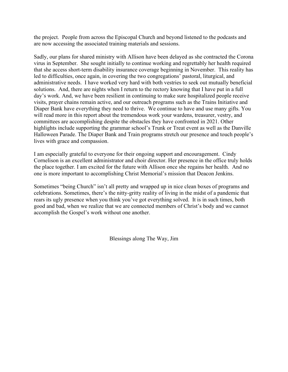the project. People from across the Episcopal Church and beyond listened to the podcasts and are now accessing the associated training materials and sessions.

Sadly, our plans for shared ministry with Allison have been delayed as she contracted the Corona virus in September. She sought initially to continue working and regrettably her health required that she access short-term disability insurance coverage beginning in November. This reality has led to difficulties, once again, in covering the two congregations' pastoral, liturgical, and administrative needs. I have worked very hard with both vestries to seek out mutually beneficial solutions. And, there are nights when I return to the rectory knowing that I have put in a full day's work. And, we have been resilient in continuing to make sure hospitalized people receive visits, prayer chains remain active, and our outreach programs such as the Trains Initiative and Diaper Bank have everything they need to thrive. We continue to have and use many gifts. You will read more in this report about the tremendous work your wardens, treasurer, vestry, and committees are accomplishing despite the obstacles they have confronted in 2021. Other highlights include supporting the grammar school's Trunk or Treat event as well as the Danville Halloween Parade. The Diaper Bank and Train programs stretch our presence and touch people's lives with grace and compassion.

I am especially grateful to everyone for their ongoing support and encouragement. Cindy Cornelison is an excellent administrator and choir director. Her presence in the office truly holds the place together. I am excited for the future with Allison once she regains her health. And no one is more important to accomplishing Christ Memorial's mission that Deacon Jenkins.

Sometimes "being Church" isn't all pretty and wrapped up in nice clean boxes of programs and celebrations. Sometimes, there's the nitty-gritty reality of living in the midst of a pandemic that rears its ugly presence when you think you've got everything solved. It is in such times, both good and bad, when we realize that we are connected members of Christ's body and we cannot accomplish the Gospel's work without one another.

Blessings along The Way, Jim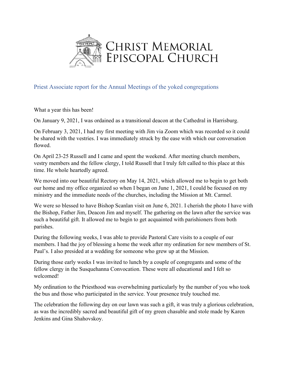

Priest Associate report for the Annual Meetings of the yoked congregations

What a year this has been!

On January 9, 2021, I was ordained as a transitional deacon at the Cathedral in Harrisburg.

On February 3, 2021, I had my first meeting with Jim via Zoom which was recorded so it could be shared with the vestries. I was immediately struck by the ease with which our conversation flowed.

On April 23-25 Russell and I came and spent the weekend. After meeting church members, vestry members and the fellow clergy, I told Russell that I truly felt called to this place at this time. He whole heartedly agreed.

We moved into our beautiful Rectory on May 14, 2021, which allowed me to begin to get both our home and my office organized so when I began on June 1, 2021, I could be focused on my ministry and the immediate needs of the churches, including the Mission at Mt. Carmel.

We were so blessed to have Bishop Scanlan visit on June 6, 2021. I cherish the photo I have with the Bishop, Father Jim, Deacon Jim and myself. The gathering on the lawn after the service was such a beautiful gift. It allowed me to begin to get acquainted with parishioners from both parishes.

During the following weeks, I was able to provide Pastoral Care visits to a couple of our members. I had the joy of blessing a home the week after my ordination for new members of St. Paul's. I also presided at a wedding for someone who grew up at the Mission.

During those early weeks I was invited to lunch by a couple of congregants and some of the fellow clergy in the Susquehanna Convocation. These were all educational and I felt so welcomed!

My ordination to the Priesthood was overwhelming particularly by the number of you who took the bus and those who participated in the service. Your presence truly touched me.

The celebration the following day on our lawn was such a gift, it was truly a glorious celebration, as was the incredibly sacred and beautiful gift of my green chasuble and stole made by Karen Jenkins and Gina Shahovskoy.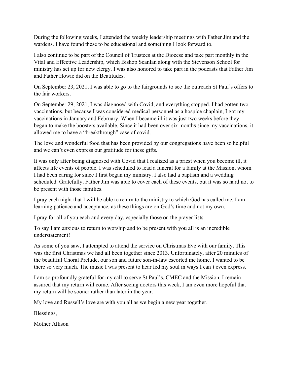During the following weeks, I attended the weekly leadership meetings with Father Jim and the wardens. I have found these to be educational and something I look forward to.

I also continue to be part of the Council of Trustees at the Diocese and take part monthly in the Vital and Effective Leadership, which Bishop Scanlan along with the Stevenson School for ministry has set up for new clergy. I was also honored to take part in the podcasts that Father Jim and Father Howie did on the Beatitudes.

On September 23, 2021, I was able to go to the fairgrounds to see the outreach St Paul's offers to the fair workers.

On September 29, 2021, I was diagnosed with Covid, and everything stopped. I had gotten two vaccinations, but because I was considered medical personnel as a hospice chaplain, I got my vaccinations in January and February. When I became ill it was just two weeks before they began to make the boosters available. Since it had been over six months since my vaccinations, it allowed me to have a "breakthrough" case of covid.

The love and wonderful food that has been provided by our congregations have been so helpful and we can't even express our gratitude for these gifts.

It was only after being diagnosed with Covid that I realized as a priest when you become ill, it affects life events of people. I was scheduled to lead a funeral for a family at the Mission, whom I had been caring for since I first began my ministry. I also had a baptism and a wedding scheduled. Gratefully, Father Jim was able to cover each of these events, but it was so hard not to be present with those families.

I pray each night that I will be able to return to the ministry to which God has called me. I am learning patience and acceptance, as these things are on God's time and not my own.

I pray for all of you each and every day, especially those on the prayer lists.

To say I am anxious to return to worship and to be present with you all is an incredible understatement!

As some of you saw, I attempted to attend the service on Christmas Eve with our family. This was the first Christmas we had all been together since 2013. Unfortunately, after 20 minutes of the beautiful Choral Prelude, our son and future son-in-law escorted me home. I wanted to be there so very much. The music I was present to hear fed my soul in ways I can't even express.

I am so profoundly grateful for my call to serve St Paul's, CMEC and the Mission. I remain assured that my return will come. After seeing doctors this week, I am even more hopeful that my return will be sooner rather than later in the year.

My love and Russell's love are with you all as we begin a new year together.

Blessings,

Mother Allison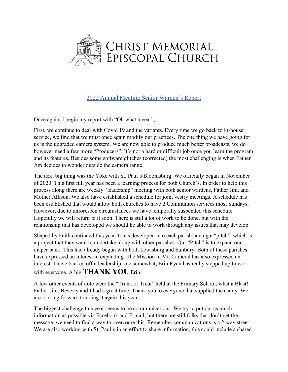

#### 2022 Annual Meeting Senior Warden's Report

Once again, I begin my report with "Oh what a year",

First, we continue to deal with Covid 19 and the variants. Every time we go back to in-house service, we find that we must once again modify our practices. The one thing we have going for us is the upgraded camera system. We are now able to produce much better broadcasts, we do however need a few more "Producers". It's not a hard or difficult job once you learn the program and its features. Besides some software glitches (corrected) the most challenging is when Father Jim decides to wonder outside the camera range.

The next big thing was the Yoke with St. Paul's Bloomsburg. We officially began in November of 2020. This first full year has been a learning process for both Church's. In order to help this process along there are weekly "leadership" meeting with both senior wardens, Father Jim, and Mother Allison. We also have established a schedule for joint vestry meetings. A schedule has been established that would allow both churches to have 2 Communion services most Sundays. However, due to unforeseen circumstances we have temporally suspended this schedule. Hopefully we will return to it soon. There is still a lot of work to be done, but with the relationship that has developed we should be able to work through any issues that may develop.

Shaped by Faith continued this year. It has developed into each parish having a "pitch", which is a project that they want to undertake along with other parishes. Our "Pitch" is to expand our diaper bank. This had already begun with both Lewisburg and Sunbury. Both of these parishes have expressed an interest in expanding. The Mission in Mt. Cameral has also expressed an interest. I have backed off a leadership role somewhat, Erin Ryan has really stepped up to work with everyone. A big **THANK YOU** Erin!

A few other events of note were the "Trunk or Treat" held at the Primary School, what a Blast! Father Jim, Beverly and I had a great time. Thank you to everyone that supplied the candy. We are looking forward to doing it again this year.

The biggest challenge this year seems to be communications. We try to put out as much information as possible via Facebook and E-mail, but there are still folks that don't get the message, we need to find a way to overcome this. Remember communications is a 2-way street. We are also working with St. Paul's in an effort to share information, this could include a shared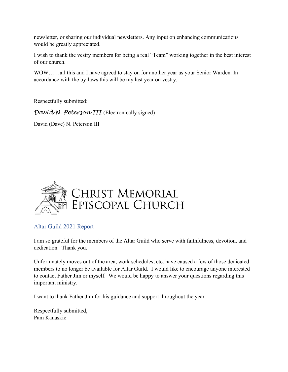newsletter, or sharing our individual newsletters. Any input on enhancing communications would be greatly appreciated.

I wish to thank the vestry members for being a real "Team" working together in the best interest of our church.

WOW……all this and I have agreed to stay on for another year as your Senior Warden. In accordance with the by-laws this will be my last year on vestry.

Respectfully submitted:

David N. Peterson III (Electronically signed)

David (Dave) N. Peterson III



#### Altar Guild 2021 Report

I am so grateful for the members of the Altar Guild who serve with faithfulness, devotion, and dedication. Thank you.

Unfortunately moves out of the area, work schedules, etc. have caused a few of those dedicated members to no longer be available for Altar Guild. I would like to encourage anyone interested to contact Father Jim or myself. We would be happy to answer your questions regarding this important ministry.

I want to thank Father Jim for his guidance and support throughout the year.

Respectfully submitted, Pam Kanaskie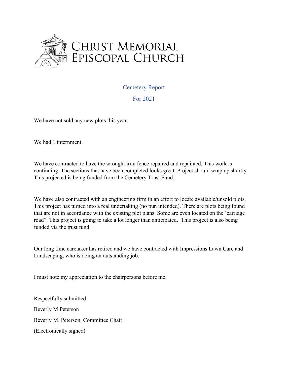

#### Cemetery Report

For 2021

We have not sold any new plots this year.

We had 1 internment.

We have contracted to have the wrought iron fence repaired and repainted. This work is continuing. The sections that have been completed looks great. Project should wrap up shortly. This projected is being funded from the Cemetery Trust Fund.

We have also contracted with an engineering firm in an effort to locate available/unsold plots. This project has turned into a real undertaking (no pun intended). There are plots being found that are not in accordance with the existing plot plans. Some are even located on the 'carriage road". This project is going to take a lot longer than anticipated. This project is also being funded via the trust fund.

Our long time caretaker has retired and we have contracted with Impressions Lawn Care and Landscaping, who is doing an outstanding job.

I must note my appreciation to the chairpersons before me.

Respectfully submitted: Beverly M Peterson Beverly M. Peterson, Committee Chair (Electronically signed)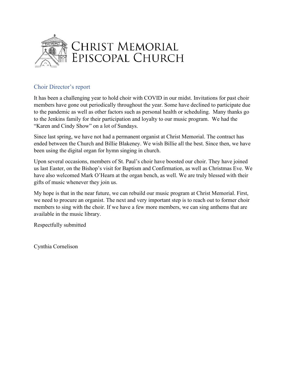

#### Choir Director's report

It has been a challenging year to hold choir with COVID in our midst. Invitations for past choir members have gone out periodically throughout the year. Some have declined to participate due to the pandemic as well as other factors such as personal health or scheduling. Many thanks go to the Jenkins family for their participation and loyalty to our music program. We had the "Karen and Cindy Show" on a lot of Sundays.

Since last spring, we have not had a permanent organist at Christ Memorial. The contract has ended between the Church and Billie Blakeney. We wish Billie all the best. Since then, we have been using the digital organ for hymn singing in church.

Upon several occasions, members of St. Paul's choir have boosted our choir. They have joined us last Easter, on the Bishop's visit for Baptism and Confirmation, as well as Christmas Eve. We have also welcomed Mark O'Hearn at the organ bench, as well. We are truly blessed with their gifts of music whenever they join us.

My hope is that in the near future, we can rebuild our music program at Christ Memorial. First, we need to procure an organist. The next and very important step is to reach out to former choir members to sing with the choir. If we have a few more members, we can sing anthems that are available in the music library.

Respectfully submitted

Cynthia Cornelison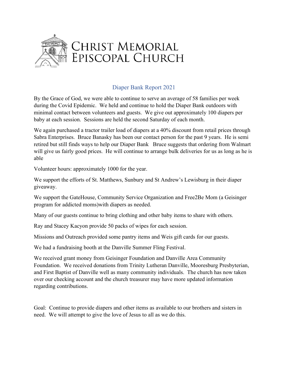

#### Diaper Bank Report 2021

By the Grace of God, we were able to continue to serve an average of 58 families per week during the Covid Epidemic. We held and continue to hold the Diaper Bank outdoors with minimal contact between volunteers and guests. We give out approximately 100 diapers per baby at each session. Sessions are held the second Saturday of each month.

We again purchased a tractor trailer load of diapers at a 40% discount from retail prices through Sabra Enterprises. Bruce Banasky has been our contact person for the past 9 years. He is semi retired but still finds ways to help our Diaper Bank Bruce suggests that ordering from Walmart will give us fairly good prices. He will continue to arrange bulk deliveries for us as long as he is able

Volunteer hours: approximately 1000 for the year.

We support the efforts of St. Matthews, Sunbury and St Andrew's Lewisburg in their diaper giveaway.

We support the GateHouse, Community Service Organization and Free2Be Mom (a Geisinger program for addicted moms)with diapers as needed.

Many of our guests continue to bring clothing and other baby items to share with others.

Ray and Stacey Kacyon provide 50 packs of wipes for each session.

Missions and Outreach provided some pantry items and Weis gift cards for our guests.

We had a fundraising booth at the Danville Summer Fling Festival.

We received grant money from Geisinger Foundation and Danville Area Community Foundation. We received donations from Trinity Lutheran Danville, Mooresburg Presbyterian, and First Baptist of Danville well as many community individuals. The church has now taken over our checking account and the church treasurer may have more updated information regarding contributions.

Goal: Continue to provide diapers and other items as available to our brothers and sisters in need. We will attempt to give the love of Jesus to all as we do this.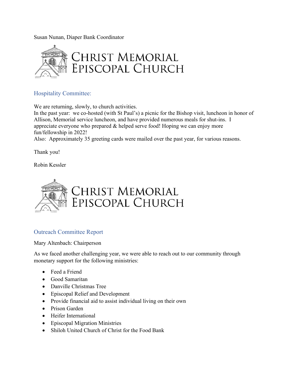Susan Nunan, Diaper Bank Coordinator



#### Hospitality Committee:

We are returning, slowly, to church activities.

In the past year: we co-hosted (with St Paul's) a picnic for the Bishop visit, luncheon in honor of Allison, Memorial service luncheon, and have provided numerous meals for shut-ins. I appreciate everyone who prepared & helped serve food! Hoping we can enjoy more fun/fellowship in 2022!

Also: Approximately 35 greeting cards were mailed over the past year, for various reasons.

Thank you!

Robin Kessler



#### Outreach Committee Report

Mary Altenbach: Chairperson

As we faced another challenging year, we were able to reach out to our community through monetary support for the following ministries:

- Feed a Friend
- Good Samaritan
- Danville Christmas Tree
- Episcopal Relief and Development
- Provide financial aid to assist individual living on their own
- Prison Garden
- Heifer International
- Episcopal Migration Ministries
- Shiloh United Church of Christ for the Food Bank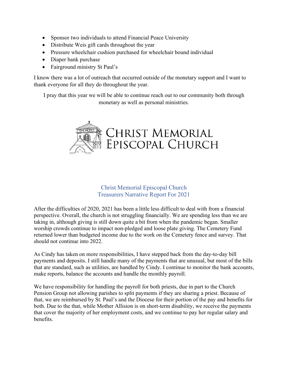- Sponsor two individuals to attend Financial Peace University
- Distribute Weis gift cards throughout the year
- Pressure wheelchair cushion purchased for wheelchair bound individual
- Diaper bank purchase
- Fairground ministry St Paul's

I know there was a lot of outreach that occurred outside of the monetary support and I want to thank everyone for all they do throughout the year.

I pray that this year we will be able to continue reach out to our community both through monetary as well as personal ministries.



#### Christ Memorial Episcopal Church Treasurers Narrative Report For 2021

After the difficulties of 2020, 2021 has been a little less difficult to deal with from a financial perspective. Overall, the church is not struggling financially. We are spending less than we are taking in, although giving is still down quite a bit from when the pandemic began. Smaller worship crowds continue to impact non-pledged and loose plate giving. The Cemetery Fund returned lower than budgeted income due to the work on the Cemetery fence and survey. That should not continue into 2022.

As Cindy has taken on more responsibilities, I have stepped back from the day-to-day bill payments and deposits. I still handle many of the payments that are unusual, but most of the bills that are standard, such as utilities, are handled by Cindy. I continue to monitor the bank accounts, make reports, balance the accounts and handle the monthly payroll.

We have responsibility for handling the payroll for both priests, due in part to the Church Pension Group not allowing parishes to split payments if they are sharing a priest. Because of that, we are reimbursed by St. Paul's and the Diocese for their portion of the pay and benefits for both. Due to the that, while Mother Allision is on short-term disability, we receive the payments that cover the majority of her employment costs, and we continue to pay her regular salary and benefits.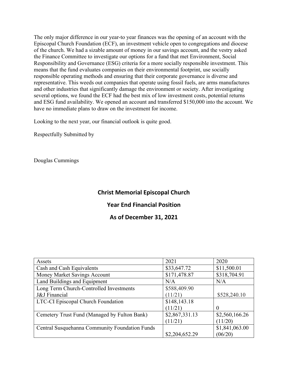The only major difference in our year-to year finances was the opening of an account with the Episcopal Church Foundation (ECF), an investment vehicle open to congregations and diocese of the church. We had a sizable amount of money in our savings account, and the vestry asked the Finance Committee to investigate our options for a fund that met Environment, Social Responsibility and Governance (ESG) criteria for a more socially responsible investment. This means that the fund evaluates companies on their environmental footprint, use socially responsible operating methods and ensuring that their corporate governance is diverse and representative. This weeds out companies that operate using fossil fuels, are arms manufactures and other industries that significantly damage the environment or society. After investigating several options, we found the ECF had the best mix of low investment costs, potential returns and ESG fund availability. We opened an account and transferred \$150,000 into the account. We have no immediate plans to draw on the investment for income.

Looking to the next year, our financial outlook is quite good.

Respectfully Submitted by

Douglas Cummings

#### **Christ Memorial Episcopal Church**

#### **Year End Financial Position**

#### **As of December 31, 2021**

| Assets                                         | 2021           | 2020           |
|------------------------------------------------|----------------|----------------|
| Cash and Cash Equivalents                      | \$33,647.72    | \$11,500.01    |
| Money Market Savings Account                   | \$171,478.87   | \$318,704.91   |
| Land Buildings and Equipment                   | N/A            | N/A            |
| Long Term Church-Controlled Investments        | \$588,409.90   |                |
| J&J Financial                                  | (11/21)        | \$528,240.10   |
| LTC-CI Episcopal Church Foundation             | \$148, 143.18  |                |
|                                                | (11/21)        | $\theta$       |
| Cemetery Trust Fund (Managed by Fulton Bank)   | \$2,867,331.13 | \$2,560,166.26 |
|                                                | (11/21)        | (11/20)        |
| Central Susquehanna Community Foundation Funds |                | \$1,841,063.00 |
|                                                | \$2,204,652.29 | (06/20)        |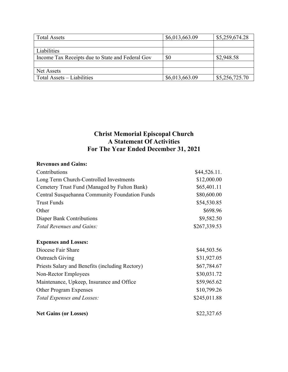| <b>Total Assets</b>                              | \$6,013,663.09 | \$5,259,674.28 |
|--------------------------------------------------|----------------|----------------|
|                                                  |                |                |
| Liabilities                                      |                |                |
| Income Tax Receipts due to State and Federal Gov | \$0            | \$2,948.58     |
|                                                  |                |                |
| Net Assets                                       |                |                |
| Total Assets – Liabilities                       | \$6,013,663.09 | \$5,256,725.70 |

### **Christ Memorial Episcopal Church A Statement Of Activities For The Year Ended December 31, 2021**

#### **Revenues and Gains:**

| Contributions                                   | \$44,526.11. |
|-------------------------------------------------|--------------|
| Long Term Church-Controlled Investments         | \$12,000.00  |
| Cemetery Trust Fund (Managed by Fulton Bank)    | \$65,401.11  |
| Central Susquehanna Community Foundation Funds  | \$80,600.00  |
| <b>Trust Funds</b>                              | \$54,530.85  |
| Other                                           | \$698.96     |
| Diaper Bank Contributions                       | \$9,582.50   |
| Total Revenues and Gains:                       | \$267,339.53 |
| <b>Expenses and Losses:</b>                     |              |
| Diocese Fair Share                              | \$44,503.56  |
| <b>Outreach Giving</b>                          | \$31,927.05  |
| Priests Salary and Benefits (including Rectory) | \$67,784.67  |
| Non-Rector Employees                            | \$30,031.72  |
| Maintenance, Upkeep, Insurance and Office       | \$59,965.62  |
| Other Program Expenses                          | \$10,799.26  |
| Total Expenses and Losses:                      | \$245,011.88 |
| <b>Net Gains (or Losses)</b>                    | \$22,327.65  |
|                                                 |              |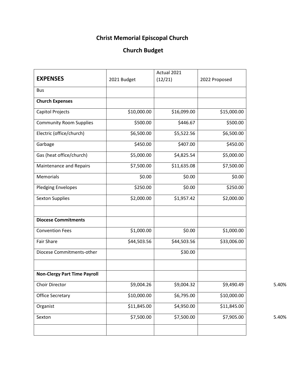## **Christ Memorial Episcopal Church**

## **Church Budget**

|                                     |             | Actual 2021 |               |       |
|-------------------------------------|-------------|-------------|---------------|-------|
| <b>EXPENSES</b>                     | 2021 Budget | (12/21)     | 2022 Proposed |       |
| <b>Bus</b>                          |             |             |               |       |
| <b>Church Expenses</b>              |             |             |               |       |
| <b>Capitol Projects</b>             | \$10,000.00 | \$16,099.00 | \$15,000.00   |       |
| <b>Community Room Supplies</b>      | \$500.00    | \$446.67    | \$500.00      |       |
| Electric (office/church)            | \$6,500.00  | \$5,522.56  | \$6,500.00    |       |
| Garbage                             | \$450.00    | \$407.00    | \$450.00      |       |
| Gas (heat office/church)            | \$5,000.00  | \$4,825.54  | \$5,000.00    |       |
| <b>Maintenance and Repairs</b>      | \$7,500.00  | \$11,635.08 | \$7,500.00    |       |
| Memorials                           | \$0.00      | \$0.00      | \$0.00        |       |
| <b>Pledging Envelopes</b>           | \$250.00    | \$0.00      | \$250.00      |       |
| <b>Sexton Supplies</b>              | \$2,000.00  | \$1,957.42  | \$2,000.00    |       |
| <b>Diocese Commitments</b>          |             |             |               |       |
| <b>Convention Fees</b>              | \$1,000.00  | \$0.00      | \$1,000.00    |       |
| <b>Fair Share</b>                   | \$44,503.56 | \$44,503.56 | \$33,006.00   |       |
| Diocese Commitments-other           |             | \$30.00     |               |       |
| <b>Non-Clergy Part Time Payroll</b> |             |             |               |       |
| Choir Director                      | \$9,004.26  | \$9,004.32  | \$9,490.49    | 5.40% |
| <b>Office Secretary</b>             | \$10,000.00 | \$6,795.00  | \$10,000.00   |       |
| Organist                            | \$11,845.00 | \$4,950.00  | \$11,845.00   |       |
| Sexton                              | \$7,500.00  | \$7,500.00  | \$7,905.00    | 5.40% |
|                                     |             |             |               |       |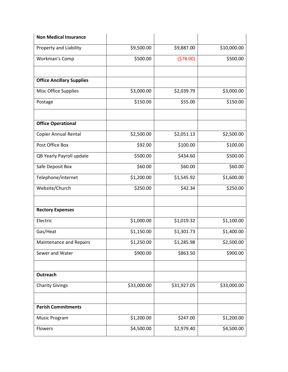| <b>Non Medical Insurance</b>     |             |             |             |
|----------------------------------|-------------|-------------|-------------|
| Property and Liability           | \$9,500.00  | \$9,887.00  | \$10,000.00 |
| Workman's Comp                   | \$500.00    | (578.00)    | \$500.00    |
| <b>Office Ancillary Supplies</b> |             |             |             |
| Misc Office Supplies             | \$3,000.00  | \$2,039.79  | \$3,000.00  |
| Postage                          | \$150.00    | \$55.00     | \$150.00    |
| <b>Office Operational</b>        |             |             |             |
| Copier Annual Rental             | \$2,500.00  | \$2,051.13  | \$2,500.00  |
| Post Office Box                  | \$92.00     | \$100.00    | \$100.00    |
| QB Yearly Payroll update         | \$500.00    | \$434.60    | \$500.00    |
| Safe Deposit Box                 | \$60.00     | \$60.00     | \$60.00     |
| Telephone/internet               | \$1,200.00  | \$1,545.92  | \$1,600.00  |
| Website/Church                   | \$250.00    | \$42.34     | \$250.00    |
| <b>Rectory Expenses</b>          |             |             |             |
| Electric                         | \$1,000.00  | \$1,019.32  | \$1,100.00  |
| Gas/Heat                         | \$1,150.00  | \$1,301.73  | \$1,400.00  |
| <b>Maintenance and Repairs</b>   | \$1,250.00  | \$1,285.98  | \$2,500.00  |
| Sewer and Water                  | \$900.00    | \$863.50    | \$900.00    |
| <b>Outreach</b>                  |             |             |             |
| <b>Charity Givings</b>           | \$33,000.00 | \$31,927.05 | \$33,000.00 |
|                                  |             |             |             |
| <b>Parish Commitments</b>        |             |             |             |
| <b>Music Program</b>             | \$1,200.00  | \$247.00    | \$1,200.00  |
| Flowers                          | \$4,500.00  | \$2,979.40  | \$4,500.00  |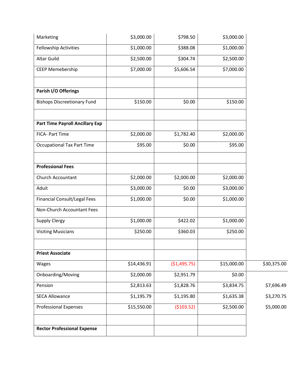| Marketing                              | \$3,000.00  | \$798.50     | \$3,000.00  |             |
|----------------------------------------|-------------|--------------|-------------|-------------|
| <b>Fellowship Activities</b>           | \$1,000.00  | \$388.08     | \$1,000.00  |             |
| Altar Guild                            | \$2,500.00  | \$304.74     | \$2,500.00  |             |
| <b>CEEP Memebership</b>                | \$7,000.00  | \$5,606.54   | \$7,000.00  |             |
| Parish I/O Offerings                   |             |              |             |             |
| <b>Bishops Discreetionary Fund</b>     | \$150.00    | \$0.00       | \$150.00    |             |
| <b>Part Time Payroll Ancillary Exp</b> |             |              |             |             |
| FICA- Part Time                        | \$2,000.00  | \$1,782.40   | \$2,000.00  |             |
| <b>Occupational Tax Part Time</b>      | \$95.00     | \$0.00       | \$95.00     |             |
| <b>Professional Fees</b>               |             |              |             |             |
| Church Accountant                      | \$2,000.00  | \$2,000.00   | \$2,000.00  |             |
| Aduit                                  | \$3,000.00  | \$0.00       | \$3,000.00  |             |
| Financial Consult/Legal Fees           | \$1,000.00  | \$0.00       | \$1,000.00  |             |
| Non-Church Accountant Fees             |             |              |             |             |
| <b>Supply Clergy</b>                   | \$1,000.00  | \$422.02     | \$1,000.00  |             |
| <b>Visiting Musicians</b>              | \$250.00    | \$360.03     | \$250.00    |             |
| <b>Priest Associate</b>                |             |              |             |             |
| Wages                                  | \$14,436.91 | (\$1,495.75) | \$15,000.00 | \$30,375.00 |
| Onboarding/Moving                      | \$2,000.00  | \$2,951.79   | \$0.00      |             |
| Pension                                | \$2,813.63  | \$1,828.76   | \$3,834.75  | \$7,696.49  |
| <b>SECA Allowance</b>                  | \$1,195.79  | \$1,195.80   | \$1,635.38  | \$3,270.75  |
| <b>Professional Expenses</b>           | \$15,550.00 | ( \$103.52)  | \$2,500.00  | \$5,000.00  |
| <b>Rector Professional Expense</b>     |             |              |             |             |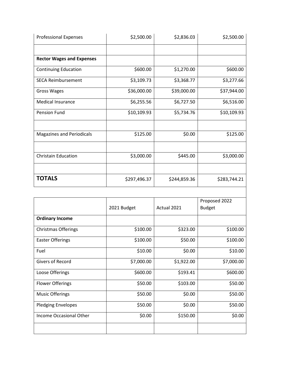| <b>Professional Expenses</b>     | \$2,500.00   | \$2,836.03   | \$2,500.00   |
|----------------------------------|--------------|--------------|--------------|
|                                  |              |              |              |
| <b>Rector Wages and Expenses</b> |              |              |              |
| <b>Continuing Education</b>      | \$600.00     | \$1,270.00   | \$600.00     |
| <b>SECA Reimbursement</b>        | \$3,109.73   | \$3,368.77   | \$3,277.66   |
| Gross Wages                      | \$36,000.00  | \$39,000.00  | \$37,944.00  |
| <b>Medical Insurance</b>         | \$6,255.56   | \$6,727.50   | \$6,516.00   |
| <b>Pension Fund</b>              | \$10,109.93  | \$5,734.76   | \$10,109.93  |
|                                  |              |              |              |
| <b>Magazines and Periodicals</b> | \$125.00     | \$0.00       | \$125.00     |
|                                  |              |              |              |
| <b>Christain Education</b>       | \$3,000.00   | \$445.00     | \$3,000.00   |
|                                  |              |              |              |
| <b>TOTALS</b>                    | \$297,496.37 | \$244,859.36 | \$283,744.21 |

|                            | 2021 Budget | Actual 2021 | Proposed 2022<br><b>Budget</b> |
|----------------------------|-------------|-------------|--------------------------------|
| <b>Ordinary Income</b>     |             |             |                                |
| <b>Christmas Offerings</b> | \$100.00    | \$323.00    | \$100.00                       |
| <b>Easter Offerings</b>    | \$100.00    | \$50.00     | \$100.00                       |
| Fuel                       | \$10.00     | \$0.00      | \$10.00                        |
| <b>Givers of Record</b>    | \$7,000.00  | \$1,922.00  | \$7,000.00                     |
| Loose Offerings            | \$600.00    | \$193.41    | \$600.00                       |
| <b>Flower Offerings</b>    | \$50.00     | \$103.00    | \$50.00                        |
| <b>Music Offerings</b>     | \$50.00     | \$0.00      | \$50.00                        |
| <b>Pledging Envelopes</b>  | \$50.00     | \$0.00      | \$50.00                        |
| Income Occasional Other    | \$0.00      | \$150.00    | \$0.00                         |
|                            |             |             |                                |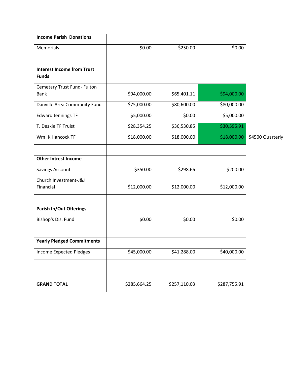| <b>Income Parish Donations</b>                    |              |              |              |                  |
|---------------------------------------------------|--------------|--------------|--------------|------------------|
| Memorials                                         | \$0.00       | \$250.00     | \$0.00       |                  |
|                                                   |              |              |              |                  |
| <b>Interest Income from Trust</b><br><b>Funds</b> |              |              |              |                  |
| Cemetary Trust Fund- Fulton<br><b>Bank</b>        | \$94,000.00  | \$65,401.11  | \$94,000.00  |                  |
| Danville Area Community Fund                      | \$75,000.00  | \$80,600.00  | \$80,000.00  |                  |
| <b>Edward Jennings TF</b>                         | \$5,000.00   | \$0.00       | \$5,000.00   |                  |
| T. Deskie TF Truist                               | \$28,354.25  | \$36,530.85  | \$30,595.91  |                  |
| Wm. K Hancock TF                                  | \$18,000.00  | \$18,000.00  | \$18,000.00  | \$4500 Quarterly |
|                                                   |              |              |              |                  |
| <b>Other Intrest Income</b>                       |              |              |              |                  |
| Savings Account                                   | \$350.00     | \$298.66     | \$200.00     |                  |
| Church Investment-J&J<br>Financial                | \$12,000.00  | \$12,000.00  | \$12,000.00  |                  |
| <b>Parish In/Out Offerings</b>                    |              |              |              |                  |
| Bishop's Dis. Fund                                | \$0.00       | \$0.00       | \$0.00       |                  |
|                                                   |              |              |              |                  |
| <b>Yearly Pledged Commitments</b>                 |              |              |              |                  |
| <b>Income Expected Pledges</b>                    | \$45,000.00  | \$41,288.00  | \$40,000.00  |                  |
|                                                   |              |              |              |                  |
|                                                   |              |              |              |                  |
| <b>GRAND TOTAL</b>                                | \$285,664.25 | \$257,110.03 | \$287,755.91 |                  |